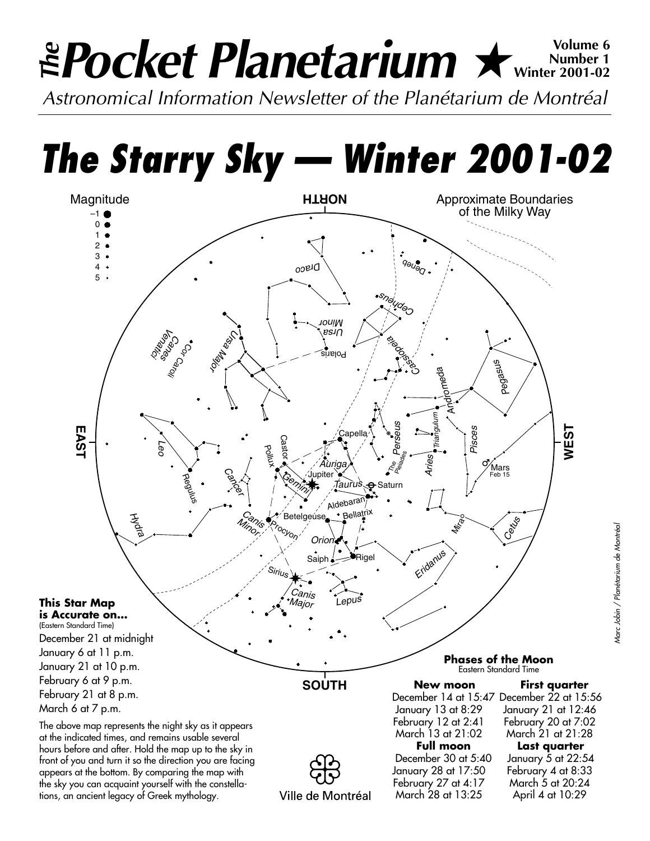# **Pocket Planetarium ★** Wolume 6 **Number 1 Winter 2001-02**

*Astronomical Information Newsletter of the Planétarium de Montréal*

*The Starry Sky — Winter 2001-02*